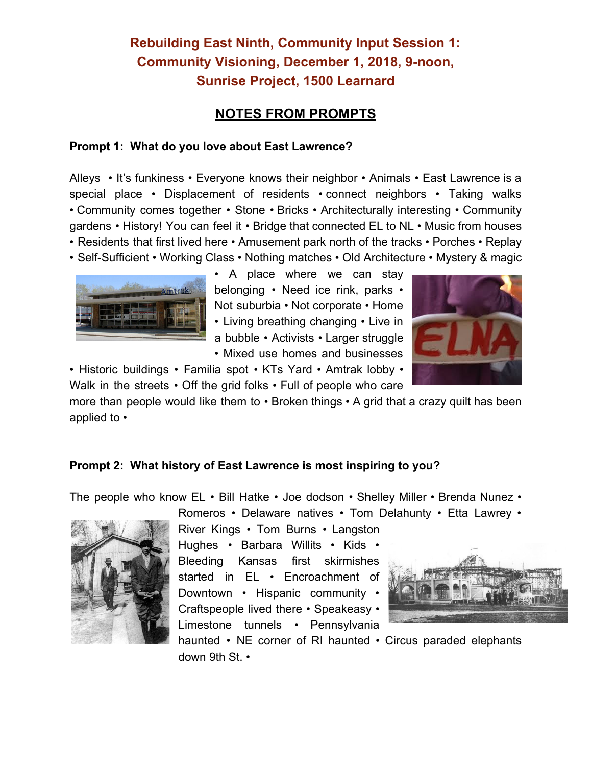## **Rebuilding East Ninth, Community Input Session 1: Community Visioning, December 1, 2018, 9-noon, Sunrise Project, 1500 Learnard**

### **NOTES FROM PROMPTS**

#### **Prompt 1: What do you love about East Lawrence?**

Alleys • It's funkiness • Everyone knows their neighbor • Animals • East Lawrence is a special place • Displacement of residents • connect neighbors • Taking walks • Community comes together • Stone • Bricks • Architecturally interesting • Community gardens • History! You can feel it • Bridge that connected EL to NL • Music from houses • Residents that first lived here • Amusement park north of the tracks • Porches • Replay

• Self-Sufficient • Working Class • Nothing matches • Old Architecture • Mystery & magic



• A place where we can stay belonging • Need ice rink, parks • Not suburbia • Not corporate • Home • Living breathing changing • Live in a bubble • Activists • Larger struggle • Mixed use homes and businesses



• Historic buildings • Familia spot • KTs Yard • Amtrak lobby • Walk in the streets • Off the grid folks • Full of people who care

more than people would like them to • Broken things • A grid that a crazy quilt has been applied to •

#### **Prompt 2: What history of East Lawrence is most inspiring to you?**

The people who know EL • Bill Hatke • Joe dodson • Shelley Miller • Brenda Nunez •





River Kings • Tom Burns • Langston Hughes • Barbara Willits • Kids • Bleeding Kansas first skirmishes started in EL • Encroachment of Downtown • Hispanic community • Craftspeople lived there • Speakeasy • Limestone tunnels • Pennsylvania



haunted • NE corner of RI haunted • Circus paraded elephants down 9th St. •